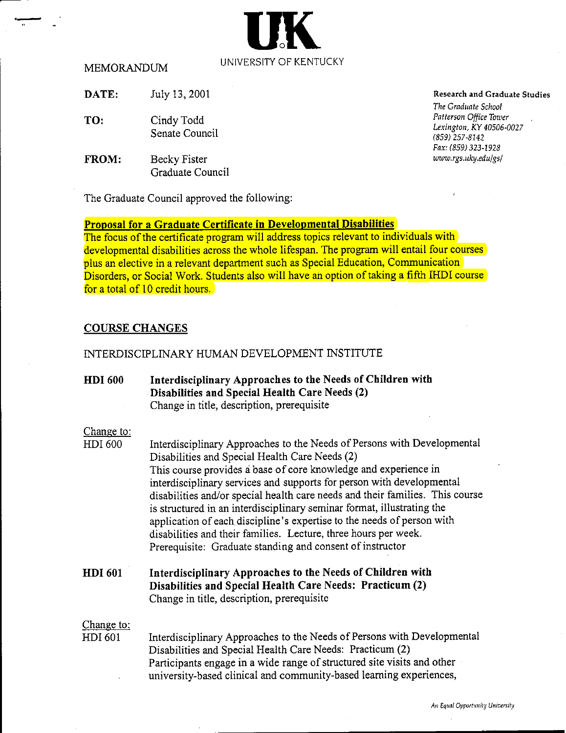### MEMORANDUM

**DATE:** July 13,2001

- **TO:** Cindy Todd Senate Council
- **FROM:** Becky Fister Graduate Council

The Graduate Council approved the following:

# **Proposal for a Graduate Certificate in Developmental Disabilities**

The focus of the certificate program will address topics relevant to individuals with developmental disabilities across the whole lifespan. The program will entail four courses plus an elective in a relevant department such as Special Education, Communication Disorders, or Social Work. Students also will have an option of taking a fifth IHDI course for a total of 10 credit hours.

# **COURSE CHANGES**

### INTERDISCIPLINARY HUMAN DEVELOPMENT INSTITUTE

**HDI 600 Interdisciplinary Approaches to the Needs of Children with Disabilities and Special Health Care Needs (2)**  Change in title, description, prerequisite Change to: HDI 600 Interdisciplinary Approaches to the Needs of Persons with Developmental Disabilities and Special Health Care Needs (2) This course provides a base of core knowledge and experience in interdisciplinary services and supports for person with developmental disabilities and/or special health care needs and their families. This course is structured in an interdisciplinary seminar format, illustrating the application of each discipline's expertise to the needs of person with disabilities and their families. Lecture, three hours per week. Prerequisite: Graduate standing and consent of instructor **HDI 601 Interdisciplinary Approaches to the Needs of Children with Disabilities and Special Health Care Needs: Practicum (2)**  Change in title, description, prerequisite Change to: HDI 601 Interdisciplinary Approaches to the Needs of Persons with Developmental Disabilities and Special Health Care Needs: Practicum (2) Participants engage in a wide range of structured site visits and other

university-based clinical and community-based learning experiences,

### **Research and Graduate Studies**

**The Graduate School Pntterson Office Tororr Lexington, KY** 40506-0027 (859) 257-8142 *Fox:* (859) 323-1929  $www.rgs.uky.edu/gs/$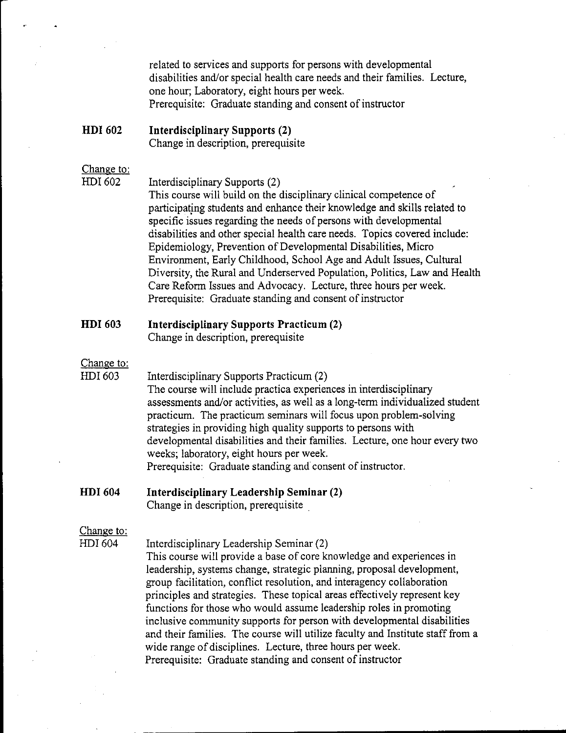related to services and supports for persons with developmental disabilities and/or special health care needs and their families. Lecture, one hour; Laboratory, eight hours per week. Prerequisite: Graduate standing and consent of instructor

HDI 602 **Interdisciplinary Supports (2)** Change in description, prerequisite

### Change to: HDI 602

Interdisciplinary Supports (2)

This course will build on the disciplinary clinical competence of participating students and enhance their knowledge and skills related to specific issues regarding the needs of persons with developmental disabilities and other special health care needs. Topics covered include: Epidemiology, Prevention of Developmental Disabilities, Micro Environment, Early Childhood, School Age and Adult Issues, Cultural Diversity, the Rural and Underserved Population, Politics, Law and Health Care Reform Issues and Advocacy. Lecture, three hours per week. Prerequisite: Graduate standing and consent of instructor

#### **HDI 603 Interdisciplinary Supports Practicum (2)**

Change in description, prerequisite

# Change to:

HDI 603 Interdisciplinary Supports Practicum (2) The course will include practica experiences in interdisciplinary assessments and/or activities, as well as a long-term individualized student practicum. The practicum seminars will focus upon problem-solving strategies in providing high quality supports to persons with developmental disabilities and their families. Lecture, one hour every two weeks; laboratory, eight hours per week. Prerequisite: Graduate standing and consent of instructor.

#### **HDI 604** Interdisciplinary Leadership Seminar (2)

Change in description, prerequisite

## Change to:

HDI 604

Interdisciplinary Leadership Seminar (2)

This course will provide a base of core knowledge and experiences in leadership, systems change, strategic planning, proposal development, group facilitation, conflict resolution, and interagency collaboration principles and strategies. These topical areas effectively represent key functions for those who would assume leadership roles in promoting inclusive community supports for person with developmental disabilities and their families. The course will utilize faculty and Institute staff from a wide range of disciplines. Lecture, three hours per week. Prerequisite: Graduate standing and consent of instructor